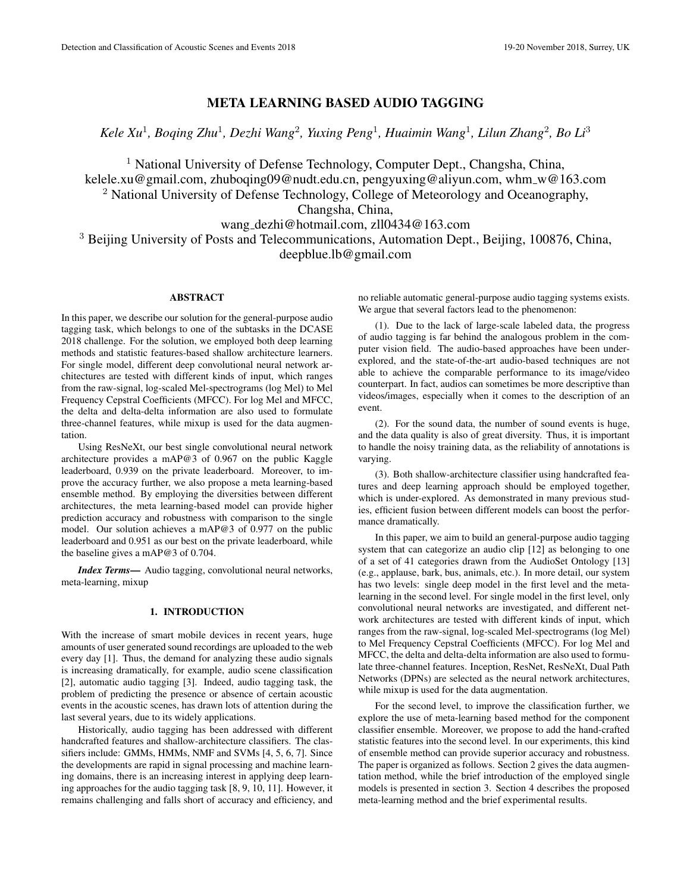# META LEARNING BASED AUDIO TAGGING

*Kele Xu*<sup>1</sup> *, Boqing Zhu*<sup>1</sup> *, Dezhi Wang*<sup>2</sup> *, Yuxing Peng*<sup>1</sup> *, Huaimin Wang*<sup>1</sup> *, Lilun Zhang*<sup>2</sup> *, Bo Li*<sup>3</sup>

<sup>1</sup> National University of Defense Technology, Computer Dept., Changsha, China, kelele.xu@gmail.com, zhuboqing09@nudt.edu.cn, pengyuxing@aliyun.com, whm\_w@163.com <sup>2</sup> National University of Defense Technology, College of Meteorology and Oceanography,

Changsha, China,

# wang dezhi@hotmail.com, zll0434@163.com

<sup>3</sup> Beijing University of Posts and Telecommunications, Automation Dept., Beijing, 100876, China, deepblue.lb@gmail.com

# ABSTRACT

In this paper, we describe our solution for the general-purpose audio tagging task, which belongs to one of the subtasks in the DCASE 2018 challenge. For the solution, we employed both deep learning methods and statistic features-based shallow architecture learners. For single model, different deep convolutional neural network architectures are tested with different kinds of input, which ranges from the raw-signal, log-scaled Mel-spectrograms (log Mel) to Mel Frequency Cepstral Coefficients (MFCC). For log Mel and MFCC, the delta and delta-delta information are also used to formulate three-channel features, while mixup is used for the data augmentation.

Using ResNeXt, our best single convolutional neural network architecture provides a mAP@3 of 0.967 on the public Kaggle leaderboard, 0.939 on the private leaderboard. Moreover, to improve the accuracy further, we also propose a meta learning-based ensemble method. By employing the diversities between different architectures, the meta learning-based model can provide higher prediction accuracy and robustness with comparison to the single model. Our solution achieves a mAP@3 of 0.977 on the public leaderboard and 0.951 as our best on the private leaderboard, while the baseline gives a mAP@3 of 0.704.

*Index Terms*— Audio tagging, convolutional neural networks, meta-learning, mixup

## 1. INTRODUCTION

With the increase of smart mobile devices in recent years, huge amounts of user generated sound recordings are uploaded to the web every day [1]. Thus, the demand for analyzing these audio signals is increasing dramatically, for example, audio scene classification [2], automatic audio tagging [3]. Indeed, audio tagging task, the problem of predicting the presence or absence of certain acoustic events in the acoustic scenes, has drawn lots of attention during the last several years, due to its widely applications.

Historically, audio tagging has been addressed with different handcrafted features and shallow-architecture classifiers. The classifiers include: GMMs, HMMs, NMF and SVMs [4, 5, 6, 7]. Since the developments are rapid in signal processing and machine learning domains, there is an increasing interest in applying deep learning approaches for the audio tagging task [8, 9, 10, 11]. However, it remains challenging and falls short of accuracy and efficiency, and no reliable automatic general-purpose audio tagging systems exists. We argue that several factors lead to the phenomenon:

(1). Due to the lack of large-scale labeled data, the progress of audio tagging is far behind the analogous problem in the computer vision field. The audio-based approaches have been underexplored, and the state-of-the-art audio-based techniques are not able to achieve the comparable performance to its image/video counterpart. In fact, audios can sometimes be more descriptive than videos/images, especially when it comes to the description of an event.

(2). For the sound data, the number of sound events is huge, and the data quality is also of great diversity. Thus, it is important to handle the noisy training data, as the reliability of annotations is varying.

(3). Both shallow-architecture classifier using handcrafted features and deep learning approach should be employed together, which is under-explored. As demonstrated in many previous studies, efficient fusion between different models can boost the performance dramatically.

In this paper, we aim to build an general-purpose audio tagging system that can categorize an audio clip [12] as belonging to one of a set of 41 categories drawn from the AudioSet Ontology [13] (e.g., applause, bark, bus, animals, etc.). In more detail, our system has two levels: single deep model in the first level and the metalearning in the second level. For single model in the first level, only convolutional neural networks are investigated, and different network architectures are tested with different kinds of input, which ranges from the raw-signal, log-scaled Mel-spectrograms (log Mel) to Mel Frequency Cepstral Coefficients (MFCC). For log Mel and MFCC, the delta and delta-delta information are also used to formulate three-channel features. Inception, ResNet, ResNeXt, Dual Path Networks (DPNs) are selected as the neural network architectures, while mixup is used for the data augmentation.

For the second level, to improve the classification further, we explore the use of meta-learning based method for the component classifier ensemble. Moreover, we propose to add the hand-crafted statistic features into the second level. In our experiments, this kind of ensemble method can provide superior accuracy and robustness. The paper is organized as follows. Section 2 gives the data augmentation method, while the brief introduction of the employed single models is presented in section 3. Section 4 describes the proposed meta-learning method and the brief experimental results.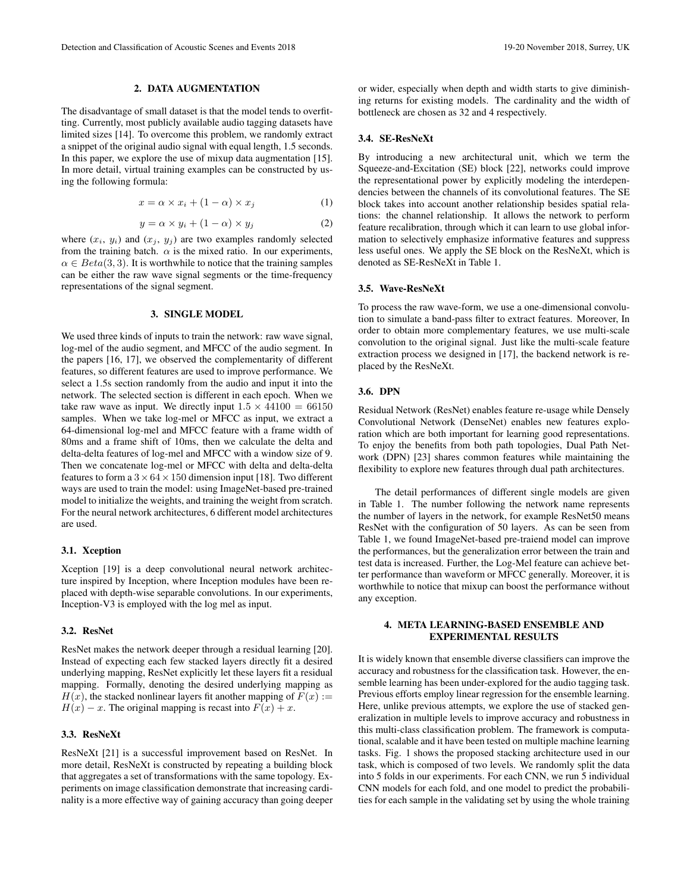#### 2. DATA AUGMENTATION

The disadvantage of small dataset is that the model tends to overfitting. Currently, most publicly available audio tagging datasets have limited sizes [14]. To overcome this problem, we randomly extract a snippet of the original audio signal with equal length, 1.5 seconds. In this paper, we explore the use of mixup data augmentation [15]. In more detail, virtual training examples can be constructed by using the following formula:

$$
x = \alpha \times x_i + (1 - \alpha) \times x_j \tag{1}
$$

$$
y = \alpha \times y_i + (1 - \alpha) \times y_j \tag{2}
$$

where  $(x_i, y_i)$  and  $(x_j, y_j)$  are two examples randomly selected from the training batch.  $\alpha$  is the mixed ratio. In our experiments,  $\alpha \in Beta(3, 3)$ . It is worthwhile to notice that the training samples can be either the raw wave signal segments or the time-frequency representations of the signal segment.

#### 3. SINGLE MODEL

We used three kinds of inputs to train the network: raw wave signal, log-mel of the audio segment, and MFCC of the audio segment. In the papers [16, 17], we observed the complementarity of different features, so different features are used to improve performance. We select a 1.5s section randomly from the audio and input it into the network. The selected section is different in each epoch. When we take raw wave as input. We directly input  $1.5 \times 44100 = 66150$ samples. When we take log-mel or MFCC as input, we extract a 64-dimensional log-mel and MFCC feature with a frame width of 80ms and a frame shift of 10ms, then we calculate the delta and delta-delta features of log-mel and MFCC with a window size of 9. Then we concatenate log-mel or MFCC with delta and delta-delta features to form a  $3 \times 64 \times 150$  dimension input [18]. Two different ways are used to train the model: using ImageNet-based pre-trained model to initialize the weights, and training the weight from scratch. For the neural network architectures, 6 different model architectures are used.

#### 3.1. Xception

Xception [19] is a deep convolutional neural network architecture inspired by Inception, where Inception modules have been replaced with depth-wise separable convolutions. In our experiments, Inception-V3 is employed with the log mel as input.

# 3.2. ResNet

ResNet makes the network deeper through a residual learning [20]. Instead of expecting each few stacked layers directly fit a desired underlying mapping, ResNet explicitly let these layers fit a residual mapping. Formally, denoting the desired underlying mapping as  $H(x)$ , the stacked nonlinear layers fit another mapping of  $F(x) :=$  $H(x) - x$ . The original mapping is recast into  $F(x) + x$ .

#### 3.3. ResNeXt

ResNeXt [21] is a successful improvement based on ResNet. In more detail, ResNeXt is constructed by repeating a building block that aggregates a set of transformations with the same topology. Experiments on image classification demonstrate that increasing cardinality is a more effective way of gaining accuracy than going deeper

or wider, especially when depth and width starts to give diminishing returns for existing models. The cardinality and the width of bottleneck are chosen as 32 and 4 respectively.

#### 3.4. SE-ResNeXt

By introducing a new architectural unit, which we term the Squeeze-and-Excitation (SE) block [22], networks could improve the representational power by explicitly modeling the interdependencies between the channels of its convolutional features. The SE block takes into account another relationship besides spatial relations: the channel relationship. It allows the network to perform feature recalibration, through which it can learn to use global information to selectively emphasize informative features and suppress less useful ones. We apply the SE block on the ResNeXt, which is denoted as SE-ResNeXt in Table 1.

#### 3.5. Wave-ResNeXt

To process the raw wave-form, we use a one-dimensional convolution to simulate a band-pass filter to extract features. Moreover, In order to obtain more complementary features, we use multi-scale convolution to the original signal. Just like the multi-scale feature extraction process we designed in [17], the backend network is replaced by the ResNeXt.

## 3.6. DPN

Residual Network (ResNet) enables feature re-usage while Densely Convolutional Network (DenseNet) enables new features exploration which are both important for learning good representations. To enjoy the benefits from both path topologies, Dual Path Network (DPN) [23] shares common features while maintaining the flexibility to explore new features through dual path architectures.

The detail performances of different single models are given in Table 1. The number following the network name represents the number of layers in the network, for example ResNet50 means ResNet with the configuration of 50 layers. As can be seen from Table 1, we found ImageNet-based pre-traiend model can improve the performances, but the generalization error between the train and test data is increased. Further, the Log-Mel feature can achieve better performance than waveform or MFCC generally. Moreover, it is worthwhile to notice that mixup can boost the performance without any exception.

## 4. META LEARNING-BASED ENSEMBLE AND EXPERIMENTAL RESULTS

It is widely known that ensemble diverse classifiers can improve the accuracy and robustness for the classification task. However, the ensemble learning has been under-explored for the audio tagging task. Previous efforts employ linear regression for the ensemble learning. Here, unlike previous attempts, we explore the use of stacked generalization in multiple levels to improve accuracy and robustness in this multi-class classification problem. The framework is computational, scalable and it have been tested on multiple machine learning tasks. Fig. 1 shows the proposed stacking architecture used in our task, which is composed of two levels. We randomly split the data into 5 folds in our experiments. For each CNN, we run 5 individual CNN models for each fold, and one model to predict the probabilities for each sample in the validating set by using the whole training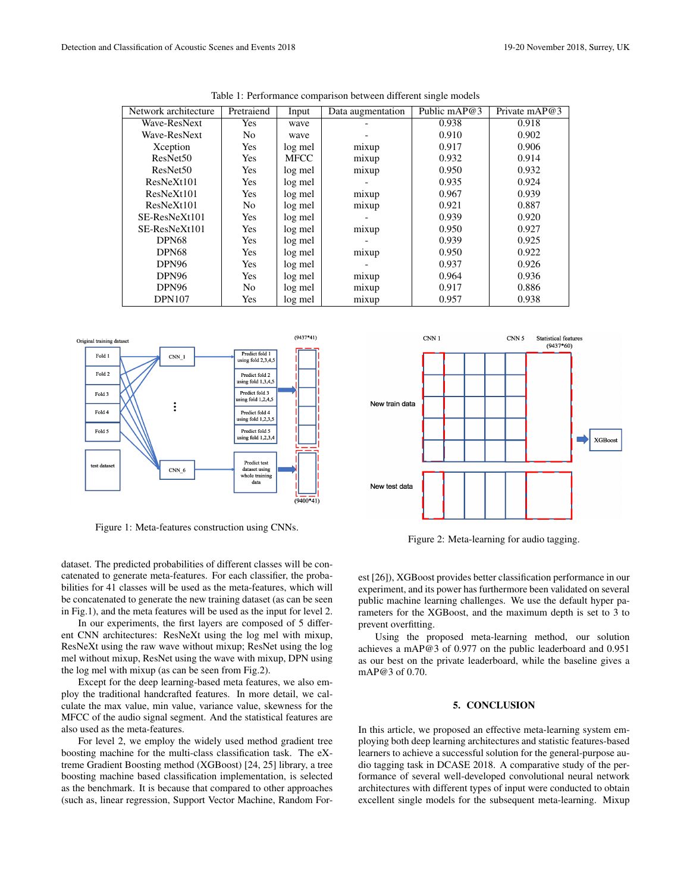| Network architecture | Pretraiend | Input       | Data augmentation | Public mAP@3 | Private mAP@3 |
|----------------------|------------|-------------|-------------------|--------------|---------------|
| Wave-ResNext         | Yes        | wave        |                   | 0.938        | 0.918         |
| Wave-ResNext         | No.        | wave        |                   | 0.910        | 0.902         |
| Xception             | Yes        | log mel     | mixup             | 0.917        | 0.906         |
| ResNet <sub>50</sub> | Yes        | <b>MFCC</b> | mixup             | 0.932        | 0.914         |
| ResNet <sub>50</sub> | Yes        | log mel     | mixup             | 0.950        | 0.932         |
| ResNeXt101           | Yes        | log mel     |                   | 0.935        | 0.924         |
| ResNeXt101           | Yes        | log mel     | mixup             | 0.967        | 0.939         |
| ResNeXt101           | No         | log mel     | mixup             | 0.921        | 0.887         |
| SE-ResNeXt101        | Yes        | log mel     |                   | 0.939        | 0.920         |
| SE-ResNeXt101        | <b>Yes</b> | log mel     | mixup             | 0.950        | 0.927         |
| DPN68                | Yes        | log mel     |                   | 0.939        | 0.925         |
| DPN68                | Yes        | log mel     | mixup             | 0.950        | 0.922         |
| DPN96                | Yes        | log mel     |                   | 0.937        | 0.926         |
| DPN96                | <b>Yes</b> | log mel     | mixup             | 0.964        | 0.936         |
| DPN96                | No         | log mel     | mixup             | 0.917        | 0.886         |
| <b>DPN107</b>        | Yes        | log mel     | mixup             | 0.957        | 0.938         |

Table 1: Performance comparison between different single models



Figure 1: Meta-features construction using CNNs.



In our experiments, the first layers are composed of 5 different CNN architectures: ResNeXt using the log mel with mixup, ResNeXt using the raw wave without mixup; ResNet using the log mel without mixup, ResNet using the wave with mixup, DPN using the log mel with mixup (as can be seen from Fig.2).

Except for the deep learning-based meta features, we also employ the traditional handcrafted features. In more detail, we calculate the max value, min value, variance value, skewness for the MFCC of the audio signal segment. And the statistical features are also used as the meta-features.

For level 2, we employ the widely used method gradient tree boosting machine for the multi-class classification task. The eXtreme Gradient Boosting method (XGBoost) [24, 25] library, a tree boosting machine based classification implementation, is selected as the benchmark. It is because that compared to other approaches (such as, linear regression, Support Vector Machine, Random For-



Figure 2: Meta-learning for audio tagging.

est [26]), XGBoost provides better classification performance in our experiment, and its power has furthermore been validated on several public machine learning challenges. We use the default hyper parameters for the XGBoost, and the maximum depth is set to 3 to prevent overfitting.

Using the proposed meta-learning method, our solution achieves a mAP@3 of 0.977 on the public leaderboard and 0.951 as our best on the private leaderboard, while the baseline gives a mAP@3 of 0.70.

## 5. CONCLUSION

In this article, we proposed an effective meta-learning system employing both deep learning architectures and statistic features-based learners to achieve a successful solution for the general-purpose audio tagging task in DCASE 2018. A comparative study of the performance of several well-developed convolutional neural network architectures with different types of input were conducted to obtain excellent single models for the subsequent meta-learning. Mixup